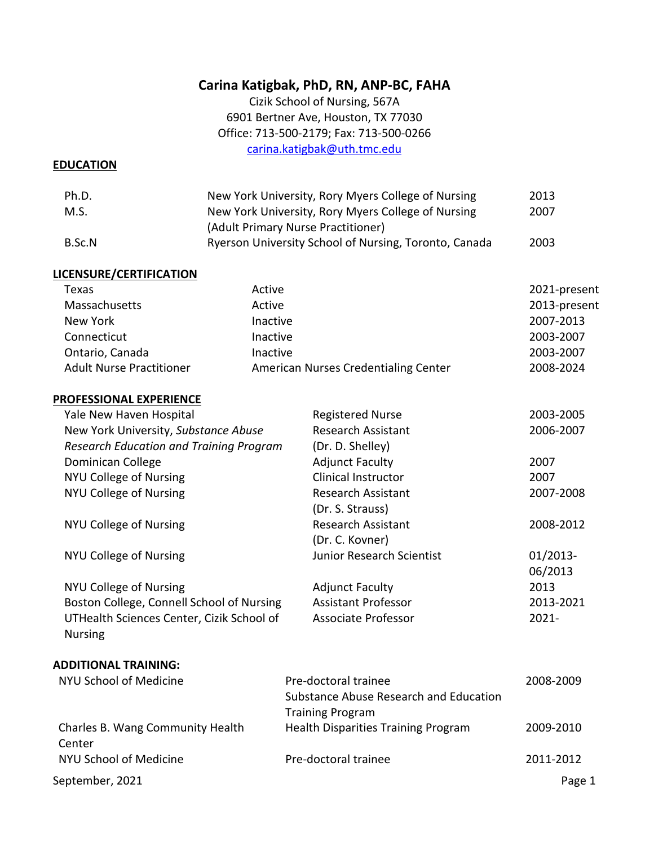# **Carina Katigbak, PhD, RN, ANP-BC, FAHA**

Cizik School of Nursing, 567A 6901 Bertner Ave, Houston, TX 77030 Office: 713-500-2179; Fax: 713-500-0266 carina.katigbak@uth.tmc.edu

#### **EDUCATION**

| Ph.D.  | New York University, Rory Myers College of Nursing    | 2013 |
|--------|-------------------------------------------------------|------|
| M.S.   | New York University, Rory Myers College of Nursing    | 2007 |
|        | (Adult Primary Nurse Practitioner)                    |      |
| B.Sc.N | Ryerson University School of Nursing, Toronto, Canada | 2003 |

#### **LICENSURE/CERTIFICATION**

| Texas                           | Active                               | 2021-present |
|---------------------------------|--------------------------------------|--------------|
| Massachusetts                   | Active                               | 2013-present |
| New York                        | Inactive                             | 2007-2013    |
| Connecticut                     | Inactive                             | 2003-2007    |
| Ontario, Canada                 | Inactive                             | 2003-2007    |
| <b>Adult Nurse Practitioner</b> | American Nurses Credentialing Center | 2008-2024    |

#### **PROFESSIONAL EXPERIENCE**

| Yale New Haven Hospital                        | <b>Registered Nurse</b>    | 2003-2005  |
|------------------------------------------------|----------------------------|------------|
| New York University, Substance Abuse           | Research Assistant         | 2006-2007  |
| <b>Research Education and Training Program</b> | (Dr. D. Shelley)           |            |
| Dominican College                              | <b>Adjunct Faculty</b>     | 2007       |
| NYU College of Nursing                         | <b>Clinical Instructor</b> | 2007       |
| NYU College of Nursing                         | Research Assistant         | 2007-2008  |
|                                                | (Dr. S. Strauss)           |            |
| NYU College of Nursing                         | <b>Research Assistant</b>  | 2008-2012  |
|                                                | (Dr. C. Kovner)            |            |
| NYU College of Nursing                         | Junior Research Scientist  | $01/2013-$ |
|                                                |                            | 06/2013    |
| NYU College of Nursing                         | <b>Adjunct Faculty</b>     | 2013       |
| Boston College, Connell School of Nursing      | <b>Assistant Professor</b> | 2013-2021  |
| UTHealth Sciences Center, Cizik School of      | Associate Professor        | $2021 -$   |
| <b>Nursing</b>                                 |                            |            |
|                                                |                            |            |
|                                                |                            |            |

#### **ADDITIONAL TRAINING:**

| NYU School of Medicine                     | Pre-doctoral trainee                       | 2008-2009 |
|--------------------------------------------|--------------------------------------------|-----------|
|                                            | Substance Abuse Research and Education     |           |
|                                            | <b>Training Program</b>                    |           |
| Charles B. Wang Community Health<br>Center | <b>Health Disparities Training Program</b> | 2009-2010 |
| NYU School of Medicine                     | Pre-doctoral trainee                       | 2011-2012 |
| September, 2021                            |                                            | Page 1    |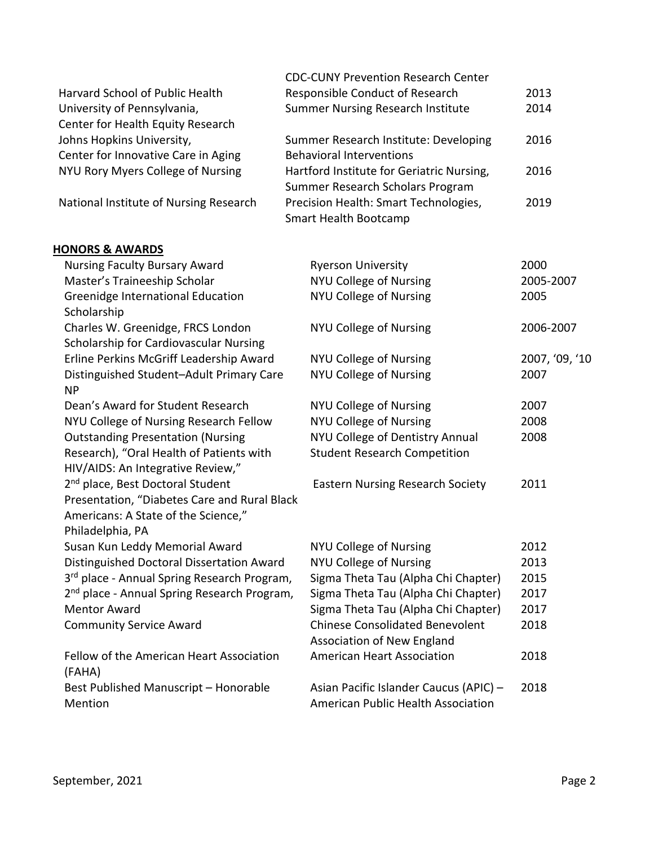|                                                                                                         | <b>CDC-CUNY Prevention Research Center</b>                                   |                |
|---------------------------------------------------------------------------------------------------------|------------------------------------------------------------------------------|----------------|
| Harvard School of Public Health                                                                         | Responsible Conduct of Research                                              | 2013           |
| University of Pennsylvania,                                                                             | <b>Summer Nursing Research Institute</b>                                     | 2014           |
| Center for Health Equity Research                                                                       |                                                                              |                |
| Johns Hopkins University,                                                                               | Summer Research Institute: Developing                                        | 2016           |
| Center for Innovative Care in Aging                                                                     | <b>Behavioral Interventions</b>                                              |                |
| NYU Rory Myers College of Nursing                                                                       | Hartford Institute for Geriatric Nursing,                                    | 2016           |
|                                                                                                         | Summer Research Scholars Program                                             |                |
| National Institute of Nursing Research                                                                  | Precision Health: Smart Technologies,                                        | 2019           |
|                                                                                                         | Smart Health Bootcamp                                                        |                |
| <b>HONORS &amp; AWARDS</b>                                                                              |                                                                              |                |
| <b>Nursing Faculty Bursary Award</b>                                                                    | <b>Ryerson University</b>                                                    | 2000           |
| Master's Traineeship Scholar                                                                            | <b>NYU College of Nursing</b>                                                | 2005-2007      |
| Greenidge International Education                                                                       | <b>NYU College of Nursing</b>                                                | 2005           |
| Scholarship                                                                                             |                                                                              |                |
| Charles W. Greenidge, FRCS London                                                                       | <b>NYU College of Nursing</b>                                                | 2006-2007      |
| Scholarship for Cardiovascular Nursing                                                                  |                                                                              |                |
| Erline Perkins McGriff Leadership Award                                                                 | <b>NYU College of Nursing</b>                                                | 2007, '09, '10 |
| Distinguished Student-Adult Primary Care<br><b>NP</b>                                                   | <b>NYU College of Nursing</b>                                                | 2007           |
| Dean's Award for Student Research                                                                       | <b>NYU College of Nursing</b>                                                | 2007           |
| NYU College of Nursing Research Fellow                                                                  | <b>NYU College of Nursing</b>                                                | 2008           |
| <b>Outstanding Presentation (Nursing</b>                                                                | NYU College of Dentistry Annual                                              | 2008           |
| Research), "Oral Health of Patients with<br>HIV/AIDS: An Integrative Review,"                           | <b>Student Research Competition</b>                                          |                |
| 2 <sup>nd</sup> place, Best Doctoral Student                                                            | <b>Eastern Nursing Research Society</b>                                      | 2011           |
| Presentation, "Diabetes Care and Rural Black<br>Americans: A State of the Science,"<br>Philadelphia, PA |                                                                              |                |
| Susan Kun Leddy Memorial Award                                                                          | <b>NYU College of Nursing</b>                                                | 2012           |
| Distinguished Doctoral Dissertation Award                                                               | <b>NYU College of Nursing</b>                                                | 2013           |
| 3rd place - Annual Spring Research Program,                                                             | Sigma Theta Tau (Alpha Chi Chapter)                                          | 2015           |
| 2 <sup>nd</sup> place - Annual Spring Research Program,                                                 | Sigma Theta Tau (Alpha Chi Chapter)                                          | 2017           |
| <b>Mentor Award</b>                                                                                     | Sigma Theta Tau (Alpha Chi Chapter)                                          | 2017           |
| <b>Community Service Award</b>                                                                          | <b>Chinese Consolidated Benevolent</b><br><b>Association of New England</b>  | 2018           |
| Fellow of the American Heart Association<br>(FAHA)                                                      | <b>American Heart Association</b>                                            | 2018           |
| Best Published Manuscript - Honorable<br>Mention                                                        | Asian Pacific Islander Caucus (APIC) -<br>American Public Health Association | 2018           |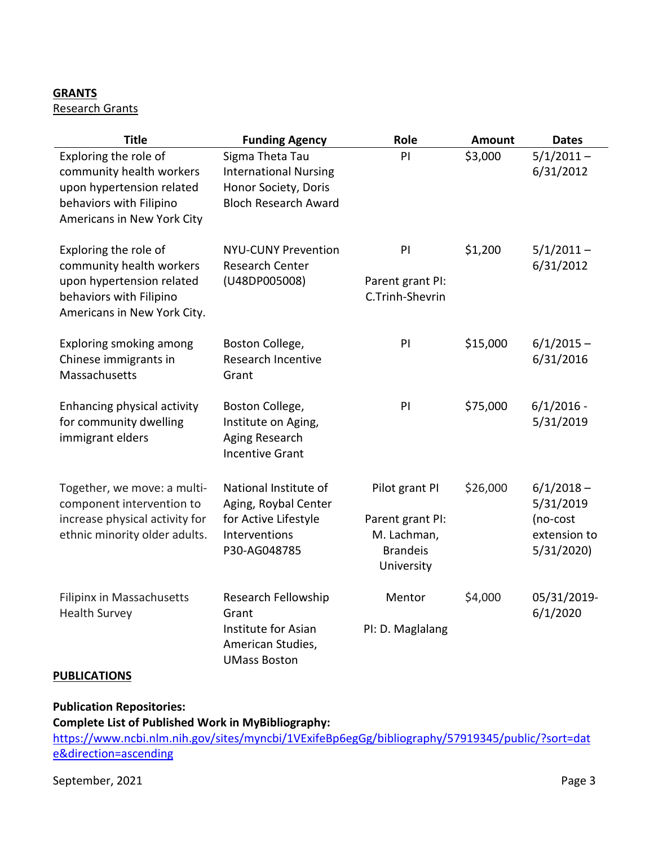## **GRANTS**

## Research Grants

| <b>Title</b>                                                                                                                             | <b>Funding Agency</b>                                                                                  | Role                                                                               | Amount   | <b>Dates</b>                                                       |
|------------------------------------------------------------------------------------------------------------------------------------------|--------------------------------------------------------------------------------------------------------|------------------------------------------------------------------------------------|----------|--------------------------------------------------------------------|
| Exploring the role of<br>community health workers<br>upon hypertension related<br>behaviors with Filipino<br>Americans in New York City  | Sigma Theta Tau<br><b>International Nursing</b><br>Honor Society, Doris<br><b>Bloch Research Award</b> | PI                                                                                 | \$3,000  | $5/1/2011 -$<br>6/31/2012                                          |
| Exploring the role of<br>community health workers<br>upon hypertension related<br>behaviors with Filipino<br>Americans in New York City. | <b>NYU-CUNY Prevention</b><br><b>Research Center</b><br>(U48DP005008)                                  | PI<br>Parent grant PI:<br>C.Trinh-Shevrin                                          | \$1,200  | $5/1/2011 -$<br>6/31/2012                                          |
| Exploring smoking among<br>Chinese immigrants in<br>Massachusetts                                                                        | Boston College,<br>Research Incentive<br>Grant                                                         | PI                                                                                 | \$15,000 | $6/1/2015 -$<br>6/31/2016                                          |
| Enhancing physical activity<br>for community dwelling<br>immigrant elders                                                                | Boston College,<br>Institute on Aging,<br>Aging Research<br><b>Incentive Grant</b>                     | PI                                                                                 | \$75,000 | $6/1/2016$ -<br>5/31/2019                                          |
| Together, we move: a multi-<br>component intervention to<br>increase physical activity for<br>ethnic minority older adults.              | National Institute of<br>Aging, Roybal Center<br>for Active Lifestyle<br>Interventions<br>P30-AG048785 | Pilot grant PI<br>Parent grant PI:<br>M. Lachman,<br><b>Brandeis</b><br>University | \$26,000 | $6/1/2018 -$<br>5/31/2019<br>(no-cost<br>extension to<br>5/31/2020 |
| Filipinx in Massachusetts<br><b>Health Survey</b>                                                                                        | Research Fellowship<br>Grant<br>Institute for Asian<br>American Studies,<br><b>UMass Boston</b>        | Mentor<br>PI: D. Maglalang                                                         | \$4,000  | 05/31/2019-<br>6/1/2020                                            |

## **PUBLICATIONS**

# **Publication Repositories:**

**Complete List of Published Work in MyBibliography:** 

https://www.ncbi.nlm.nih.gov/sites/myncbi/1VExifeBp6egGg/bibliography/57919345/public/?sort=dat e&direction=ascending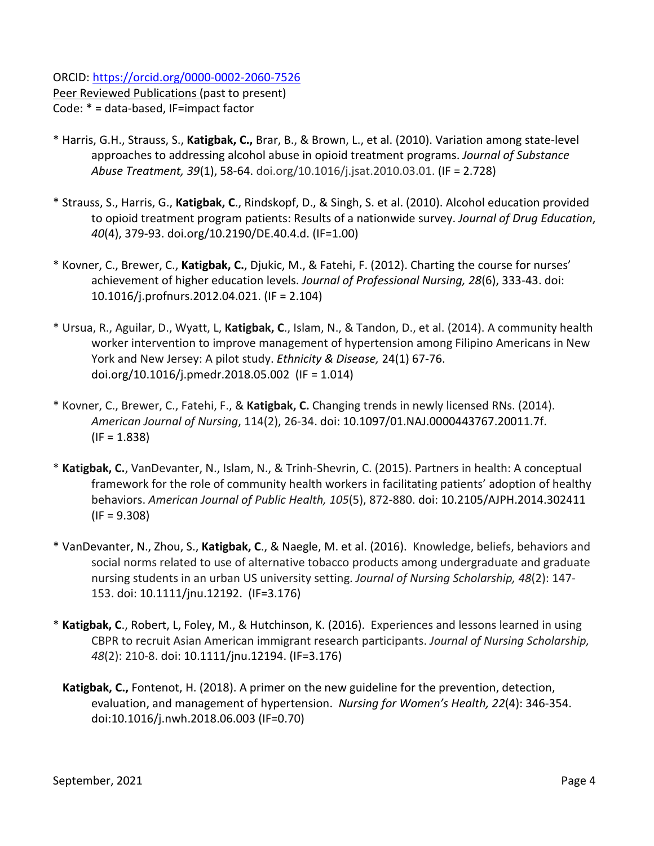ORCID: https://orcid.org/0000-0002-2060-7526 Peer Reviewed Publications (past to present)

- Code: \* = data-based, IF=impact factor
- \* Harris, G.H., Strauss, S., **Katigbak, C.,** Brar, B., & Brown, L., et al. (2010). Variation among state-level approaches to addressing alcohol abuse in opioid treatment programs. *Journal of Substance Abuse Treatment, 39*(1), 58-64. doi.org/10.1016/j.jsat.2010.03.01. (IF = 2.728)
- \* Strauss, S., Harris, G., **Katigbak, C**., Rindskopf, D., & Singh, S. et al. (2010). Alcohol education provided to opioid treatment program patients: Results of a nationwide survey. *Journal of Drug Education*, *40*(4), 379-93. doi.org/10.2190/DE.40.4.d. (IF=1.00)
- \* Kovner, C., Brewer, C., **Katigbak, C.**, Djukic, M., & Fatehi, F. (2012). Charting the course for nurses' achievement of higher education levels. *Journal of Professional Nursing, 28*(6), 333-43. doi: 10.1016/j.profnurs.2012.04.021. (IF = 2.104)
- \* Ursua, R., Aguilar, D., Wyatt, L, **Katigbak, C**., Islam, N., & Tandon, D., et al. (2014). A community health worker intervention to improve management of hypertension among Filipino Americans in New York and New Jersey: A pilot study. *Ethnicity & Disease,* 24(1) 67-76. doi.org/10.1016/j.pmedr.2018.05.002 (IF = 1.014)
- \* Kovner, C., Brewer, C., Fatehi, F., & **Katigbak, C.** Changing trends in newly licensed RNs. (2014). *American Journal of Nursing*, 114(2), 26-34. doi: 10.1097/01.NAJ.0000443767.20011.7f.  $(IF = 1.838)$
- \* **Katigbak, C.**, VanDevanter, N., Islam, N., & Trinh-Shevrin, C. (2015). Partners in health: A conceptual framework for the role of community health workers in facilitating patients' adoption of healthy behaviors. *American Journal of Public Health, 105*(5), 872-880. doi: 10.2105/AJPH.2014.302411  $(IF = 9.308)$
- \* VanDevanter, N., Zhou, S., **Katigbak, C**., & Naegle, M. et al. (2016). Knowledge, beliefs, behaviors and social norms related to use of alternative tobacco products among undergraduate and graduate nursing students in an urban US university setting. *Journal of Nursing Scholarship, 48*(2): 147- 153. doi: 10.1111/jnu.12192. (IF=3.176)
- \* **Katigbak, C**., Robert, L, Foley, M., & Hutchinson, K. (2016). Experiences and lessons learned in using CBPR to recruit Asian American immigrant research participants. *Journal of Nursing Scholarship, 48*(2): 210-8. doi: 10.1111/jnu.12194. (IF=3.176)
	- **Katigbak, C.,** Fontenot, H. (2018). A primer on the new guideline for the prevention, detection, evaluation, and management of hypertension. *Nursing for Women's Health, 22*(4): 346-354. doi:10.1016/j.nwh.2018.06.003 (IF=0.70)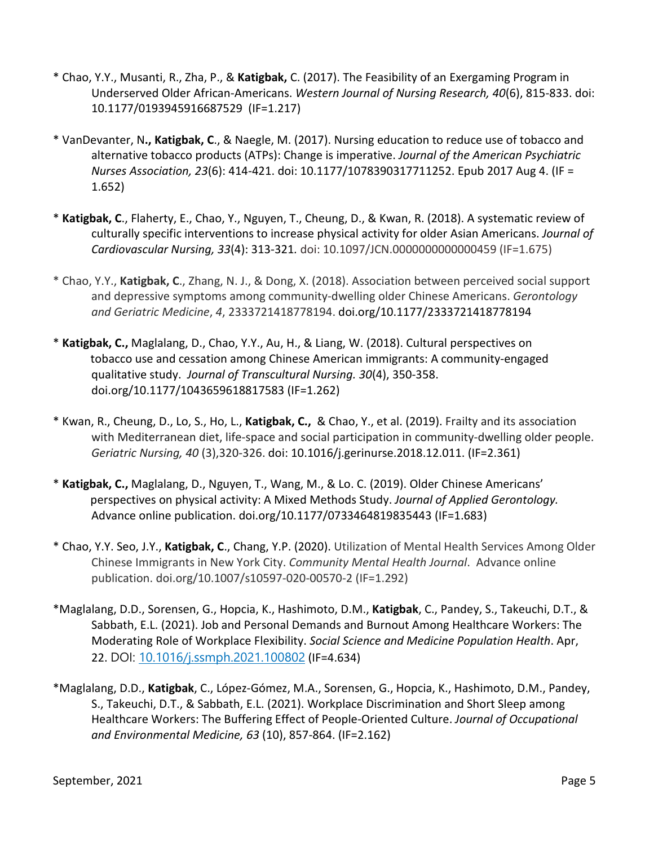- \* Chao, Y.Y., Musanti, R., Zha, P., & **Katigbak,** C. (2017). The Feasibility of an Exergaming Program in Underserved Older African-Americans. *Western Journal of Nursing Research, 40*(6), 815-833. doi: 10.1177/0193945916687529 (IF=1.217)
- \* VanDevanter, N**., Katigbak, C**., & Naegle, M. (2017). Nursing education to reduce use of tobacco and alternative tobacco products (ATPs): Change is imperative. *Journal of the American Psychiatric Nurses Association, 23*(6): 414-421. doi: 10.1177/1078390317711252. Epub 2017 Aug 4. (IF = 1.652)
- \* **Katigbak, C**., Flaherty, E., Chao, Y., Nguyen, T., Cheung, D., & Kwan, R. (2018). A systematic review of culturally specific interventions to increase physical activity for older Asian Americans. *Journal of Cardiovascular Nursing, 33*(4): 313-321*.* doi: 10.1097/JCN.0000000000000459 (IF=1.675)
- \* Chao, Y.Y., **Katigbak, C**., Zhang, N. J., & Dong, X. (2018). Association between perceived social support and depressive symptoms among community-dwelling older Chinese Americans. *Gerontology and Geriatric Medicine*, *4*, 2333721418778194. doi.org/10.1177/2333721418778194
- \* **Katigbak, C.,** Maglalang, D., Chao, Y.Y., Au, H., & Liang, W. (2018). Cultural perspectives on tobacco use and cessation among Chinese American immigrants: A community-engaged qualitative study. *Journal of Transcultural Nursing. 30*(4), 350-358. doi.org/10.1177/1043659618817583 (IF=1.262)
- \* Kwan, R., Cheung, D., Lo, S., Ho, L., **Katigbak, C.,** & Chao, Y., et al. (2019). Frailty and its association with Mediterranean diet, life-space and social participation in community-dwelling older people. *Geriatric Nursing, 40* (3),320-326. doi: 10.1016/j.gerinurse.2018.12.011. (IF=2.361)
- \* **Katigbak, C.,** Maglalang, D., Nguyen, T., Wang, M., & Lo. C. (2019). Older Chinese Americans' perspectives on physical activity: A Mixed Methods Study. *Journal of Applied Gerontology.*  Advance online publication. doi.org/10.1177/0733464819835443 (IF=1.683)
- \* Chao, Y.Y. Seo, J.Y., **Katigbak, C**., Chang, Y.P. (2020). Utilization of Mental Health Services Among Older Chinese Immigrants in New York City. *Community Mental Health Journal*. Advance online publication. doi.org/10.1007/s10597-020-00570-2 (IF=1.292)
- \*Maglalang, D.D., Sorensen, G., Hopcia, K., Hashimoto, D.M., **Katigbak**, C., Pandey, S., Takeuchi, D.T., & Sabbath, E.L. (2021). Job and Personal Demands and Burnout Among Healthcare Workers: The Moderating Role of Workplace Flexibility. *Social Science and Medicine Population Health*. Apr, 22. DOI: 10.1016/j.ssmph.2021.100802 (IF=4.634)
- \*Maglalang, D.D., **Katigbak**, C., López-Gómez, M.A., Sorensen, G., Hopcia, K., Hashimoto, D.M., Pandey, S., Takeuchi, D.T., & Sabbath, E.L. (2021). Workplace Discrimination and Short Sleep among Healthcare Workers: The Buffering Effect of People-Oriented Culture. *Journal of Occupational and Environmental Medicine, 63* (10), 857-864. (IF=2.162)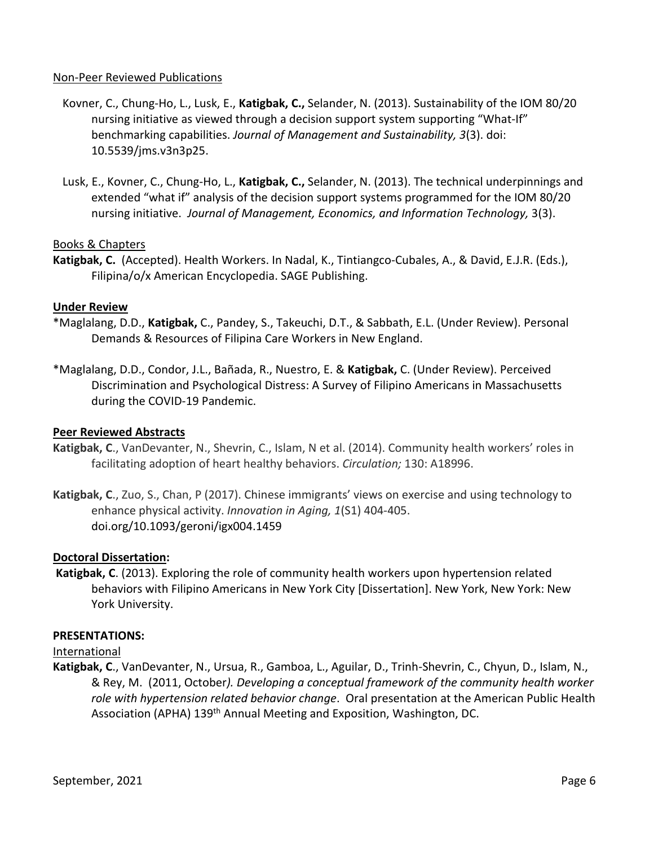#### Non-Peer Reviewed Publications

- Kovner, C., Chung-Ho, L., Lusk, E., **Katigbak, C.,** Selander, N. (2013). Sustainability of the IOM 80/20 nursing initiative as viewed through a decision support system supporting "What-If" benchmarking capabilities. *Journal of Management and Sustainability, 3*(3). doi: 10.5539/jms.v3n3p25.
- Lusk, E., Kovner, C., Chung-Ho, L., **Katigbak, C.,** Selander, N. (2013). The technical underpinnings and extended "what if" analysis of the decision support systems programmed for the IOM 80/20 nursing initiative. *Journal of Management, Economics, and Information Technology,* 3(3).

## Books & Chapters

**Katigbak, C.** (Accepted). Health Workers. In Nadal, K., Tintiangco-Cubales, A., & David, E.J.R. (Eds.), Filipina/o/x American Encyclopedia. SAGE Publishing.

#### **Under Review**

- \*Maglalang, D.D., **Katigbak,** C., Pandey, S., Takeuchi, D.T., & Sabbath, E.L. (Under Review). Personal Demands & Resources of Filipina Care Workers in New England.
- \*Maglalang, D.D., Condor, J.L., Bañada, R., Nuestro, E. & **Katigbak,** C. (Under Review). Perceived Discrimination and Psychological Distress: A Survey of Filipino Americans in Massachusetts during the COVID-19 Pandemic.

#### **Peer Reviewed Abstracts**

- **Katigbak, C**., VanDevanter, N., Shevrin, C., Islam, N et al. (2014). Community health workers' roles in facilitating adoption of heart healthy behaviors. *Circulation;* 130: A18996.
- **Katigbak, C**., Zuo, S., Chan, P (2017). Chinese immigrants' views on exercise and using technology to enhance physical activity. *Innovation in Aging, 1*(S1) 404-405. doi.org/10.1093/geroni/igx004.1459

#### **Doctoral Dissertation:**

**Katigbak, C**. (2013). Exploring the role of community health workers upon hypertension related behaviors with Filipino Americans in New York City [Dissertation]. New York, New York: New York University.

#### **PRESENTATIONS:**

#### International

**Katigbak, C**., VanDevanter, N., Ursua, R., Gamboa, L., Aguilar, D., Trinh-Shevrin, C., Chyun, D., Islam, N., & Rey, M. (2011, October*). Developing a conceptual framework of the community health worker role with hypertension related behavior change*. Oral presentation at the American Public Health Association (APHA) 139<sup>th</sup> Annual Meeting and Exposition, Washington, DC.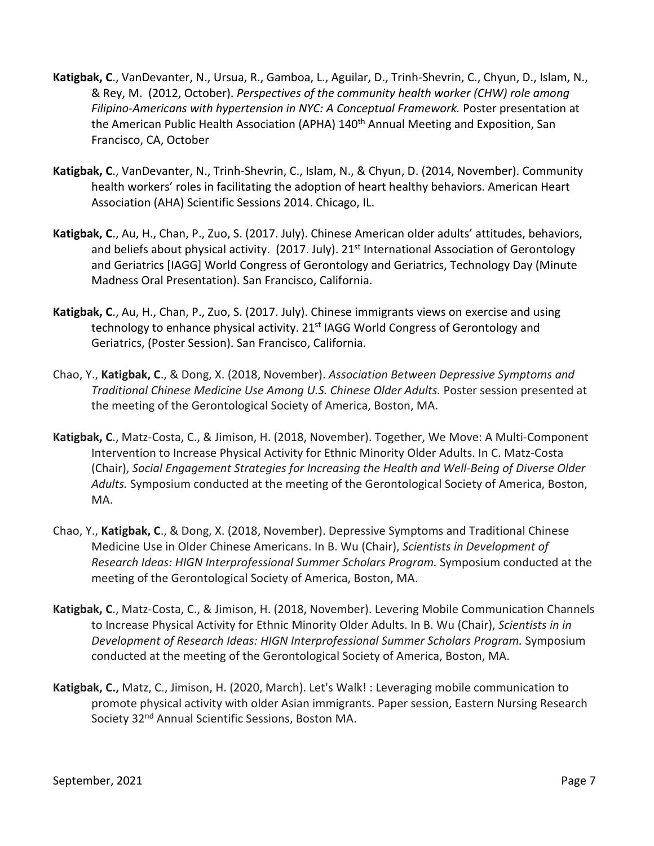- **Katigbak, C**., VanDevanter, N., Ursua, R., Gamboa, L., Aguilar, D., Trinh-Shevrin, C., Chyun, D., Islam, N., & Rey, M. (2012, October). *Perspectives of the community health worker (CHW) role among Filipino-Americans with hypertension in NYC: A Conceptual Framework.* Poster presentation at the American Public Health Association (APHA) 140<sup>th</sup> Annual Meeting and Exposition, San Francisco, CA, October
- **Katigbak, C**., VanDevanter, N., Trinh-Shevrin, C., Islam, N., & Chyun, D. (2014, November). Community health workers' roles in facilitating the adoption of heart healthy behaviors. American Heart Association (AHA) Scientific Sessions 2014. Chicago, IL.
- **Katigbak, C**., Au, H., Chan, P., Zuo, S. (2017. July). Chinese American older adults' attitudes, behaviors, and beliefs about physical activity. (2017. July). 21<sup>st</sup> International Association of Gerontology and Geriatrics [IAGG] World Congress of Gerontology and Geriatrics, Technology Day (Minute Madness Oral Presentation). San Francisco, California.
- **Katigbak, C**., Au, H., Chan, P., Zuo, S. (2017. July). Chinese immigrants views on exercise and using technology to enhance physical activity. 21<sup>st</sup> IAGG World Congress of Gerontology and Geriatrics, (Poster Session). San Francisco, California.
- Chao, Y., **Katigbak, C**., & Dong, X. (2018, November). *Association Between Depressive Symptoms and Traditional Chinese Medicine Use Among U.S. Chinese Older Adults.* Poster session presented at the meeting of the Gerontological Society of America, Boston, MA.
- **Katigbak, C**., Matz-Costa, C., & Jimison, H. (2018, November). Together, We Move: A Multi-Component Intervention to Increase Physical Activity for Ethnic Minority Older Adults. In C. Matz-Costa (Chair), *Social Engagement Strategies for Increasing the Health and Well-Being of Diverse Older Adults.* Symposium conducted at the meeting of the Gerontological Society of America, Boston, MA.
- Chao, Y., **Katigbak, C**., & Dong, X. (2018, November). Depressive Symptoms and Traditional Chinese Medicine Use in Older Chinese Americans. In B. Wu (Chair), *Scientists in Development of Research Ideas: HIGN Interprofessional Summer Scholars Program.* Symposium conducted at the meeting of the Gerontological Society of America, Boston, MA.
- **Katigbak, C**., Matz-Costa, C., & Jimison, H. (2018, November). Levering Mobile Communication Channels to Increase Physical Activity for Ethnic Minority Older Adults. In B. Wu (Chair), *Scientists in in Development of Research Ideas: HIGN Interprofessional Summer Scholars Program.* Symposium conducted at the meeting of the Gerontological Society of America, Boston, MA.
- **Katigbak, C.,** Matz, C., Jimison, H. (2020, March). Let's Walk! : Leveraging mobile communication to promote physical activity with older Asian immigrants. Paper session, Eastern Nursing Research Society 32<sup>nd</sup> Annual Scientific Sessions, Boston MA.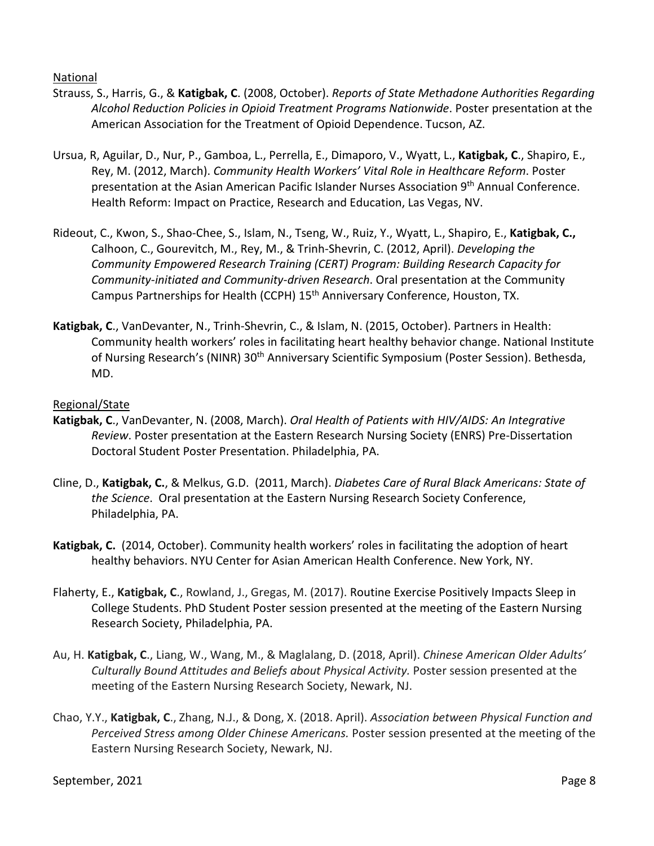National

- Strauss, S., Harris, G., & **Katigbak, C**. (2008, October). *Reports of State Methadone Authorities Regarding Alcohol Reduction Policies in Opioid Treatment Programs Nationwide*. Poster presentation at the American Association for the Treatment of Opioid Dependence. Tucson, AZ.
- Ursua, R, Aguilar, D., Nur, P., Gamboa, L., Perrella, E., Dimaporo, V., Wyatt, L., **Katigbak, C**., Shapiro, E., Rey, M. (2012, March). *Community Health Workers' Vital Role in Healthcare Reform*. Poster presentation at the Asian American Pacific Islander Nurses Association 9<sup>th</sup> Annual Conference. Health Reform: Impact on Practice, Research and Education, Las Vegas, NV.
- Rideout, C., Kwon, S., Shao-Chee, S., Islam, N., Tseng, W., Ruiz, Y., Wyatt, L., Shapiro, E., **Katigbak, C.,**  Calhoon, C., Gourevitch, M., Rey, M., & Trinh-Shevrin, C. (2012, April). *Developing the Community Empowered Research Training (CERT) Program: Building Research Capacity for Community-initiated and Community-driven Research*. Oral presentation at the Community Campus Partnerships for Health (CCPH) 15th Anniversary Conference, Houston, TX.
- **Katigbak, C**., VanDevanter, N., Trinh-Shevrin, C., & Islam, N. (2015, October). Partners in Health: Community health workers' roles in facilitating heart healthy behavior change. National Institute of Nursing Research's (NINR) 30<sup>th</sup> Anniversary Scientific Symposium (Poster Session). Bethesda, MD.

## Regional/State

- **Katigbak, C**., VanDevanter, N. (2008, March). *Oral Health of Patients with HIV/AIDS: An Integrative Review*. Poster presentation at the Eastern Research Nursing Society (ENRS) Pre-Dissertation Doctoral Student Poster Presentation. Philadelphia, PA.
- Cline, D., **Katigbak, C.**, & Melkus, G.D. (2011, March). *Diabetes Care of Rural Black Americans: State of the Science*. Oral presentation at the Eastern Nursing Research Society Conference, Philadelphia, PA.
- **Katigbak, C.** (2014, October). Community health workers' roles in facilitating the adoption of heart healthy behaviors. NYU Center for Asian American Health Conference. New York, NY.
- Flaherty, E., **Katigbak, C**., Rowland, J., Gregas, M. (2017). Routine Exercise Positively Impacts Sleep in College Students. PhD Student Poster session presented at the meeting of the Eastern Nursing Research Society, Philadelphia, PA.
- Au, H. **Katigbak, C**., Liang, W., Wang, M., & Maglalang, D. (2018, April). *Chinese American Older Adults' Culturally Bound Attitudes and Beliefs about Physical Activity.* Poster session presented at the meeting of the Eastern Nursing Research Society, Newark, NJ.
- Chao, Y.Y., **Katigbak, C**., Zhang, N.J., & Dong, X. (2018. April). *Association between Physical Function and Perceived Stress among Older Chinese Americans.* Poster session presented at the meeting of the Eastern Nursing Research Society, Newark, NJ.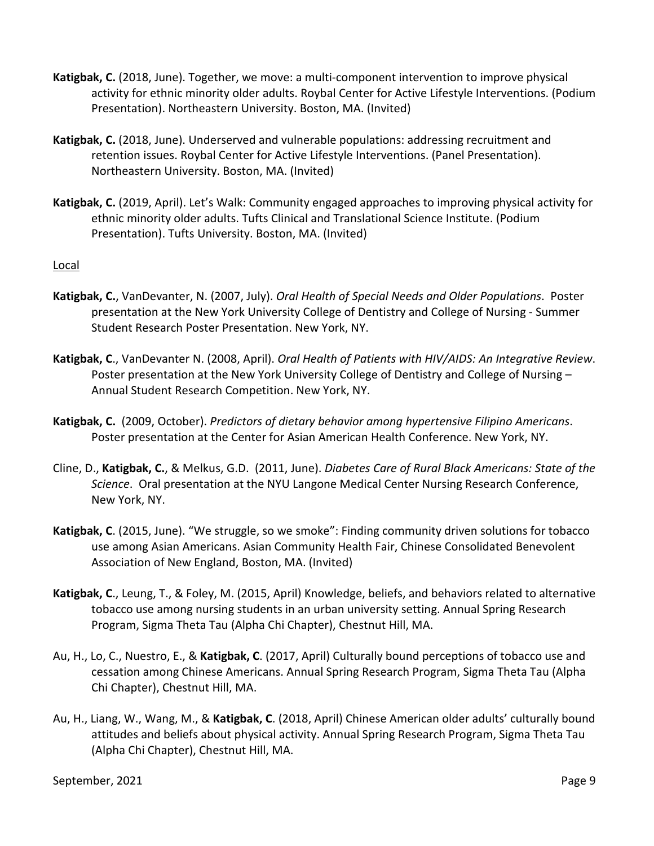- **Katigbak, C.** (2018, June). Together, we move: a multi-component intervention to improve physical activity for ethnic minority older adults. Roybal Center for Active Lifestyle Interventions. (Podium Presentation). Northeastern University. Boston, MA. (Invited)
- **Katigbak, C.** (2018, June). Underserved and vulnerable populations: addressing recruitment and retention issues. Roybal Center for Active Lifestyle Interventions. (Panel Presentation). Northeastern University. Boston, MA. (Invited)
- **Katigbak, C.** (2019, April). Let's Walk: Community engaged approaches to improving physical activity for ethnic minority older adults. Tufts Clinical and Translational Science Institute. (Podium Presentation). Tufts University. Boston, MA. (Invited)

## Local

- **Katigbak, C.**, VanDevanter, N. (2007, July). *Oral Health of Special Needs and Older Populations*. Poster presentation at the New York University College of Dentistry and College of Nursing - Summer Student Research Poster Presentation. New York, NY.
- **Katigbak, C**., VanDevanter N. (2008, April). *Oral Health of Patients with HIV/AIDS: An Integrative Review*. Poster presentation at the New York University College of Dentistry and College of Nursing – Annual Student Research Competition. New York, NY.
- **Katigbak, C.** (2009, October). *Predictors of dietary behavior among hypertensive Filipino Americans*. Poster presentation at the Center for Asian American Health Conference. New York, NY.
- Cline, D., **Katigbak, C.**, & Melkus, G.D. (2011, June). *Diabetes Care of Rural Black Americans: State of the Science*. Oral presentation at the NYU Langone Medical Center Nursing Research Conference, New York, NY.
- **Katigbak, C**. (2015, June). "We struggle, so we smoke": Finding community driven solutions for tobacco use among Asian Americans. Asian Community Health Fair, Chinese Consolidated Benevolent Association of New England, Boston, MA. (Invited)
- **Katigbak, C**., Leung, T., & Foley, M. (2015, April) Knowledge, beliefs, and behaviors related to alternative tobacco use among nursing students in an urban university setting. Annual Spring Research Program, Sigma Theta Tau (Alpha Chi Chapter), Chestnut Hill, MA.
- Au, H., Lo, C., Nuestro, E., & **Katigbak, C**. (2017, April) Culturally bound perceptions of tobacco use and cessation among Chinese Americans. Annual Spring Research Program, Sigma Theta Tau (Alpha Chi Chapter), Chestnut Hill, MA.
- Au, H., Liang, W., Wang, M., & **Katigbak, C**. (2018, April) Chinese American older adults' culturally bound attitudes and beliefs about physical activity. Annual Spring Research Program, Sigma Theta Tau (Alpha Chi Chapter), Chestnut Hill, MA.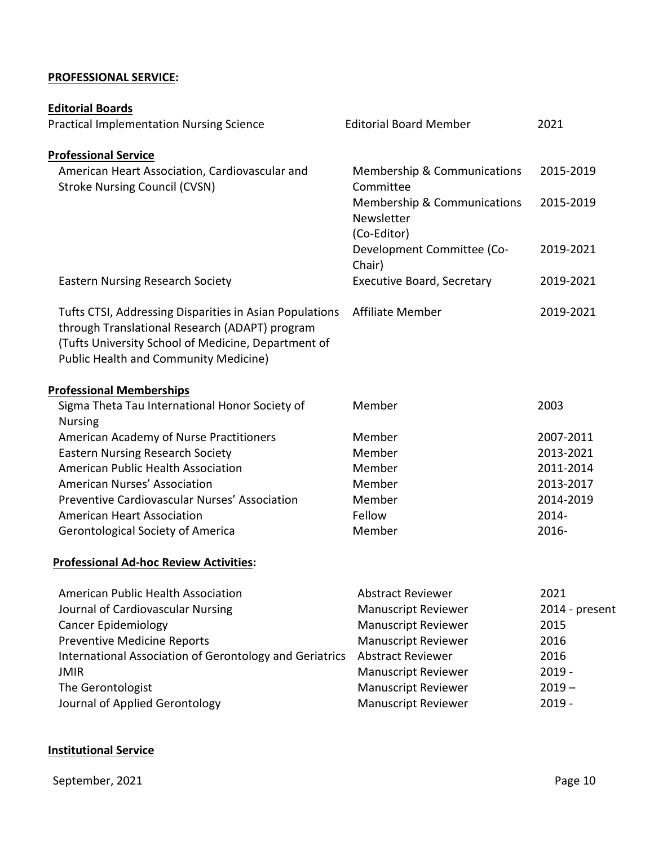## **PROFESSIONAL SERVICE:**

| <b>Editorial Boards</b>                                                                                                                                                                                          |                                                                     |                |
|------------------------------------------------------------------------------------------------------------------------------------------------------------------------------------------------------------------|---------------------------------------------------------------------|----------------|
| <b>Practical Implementation Nursing Science</b>                                                                                                                                                                  | <b>Editorial Board Member</b>                                       | 2021           |
| <b>Professional Service</b>                                                                                                                                                                                      |                                                                     |                |
| American Heart Association, Cardiovascular and<br><b>Stroke Nursing Council (CVSN)</b>                                                                                                                           | <b>Membership &amp; Communications</b><br>Committee                 | 2015-2019      |
|                                                                                                                                                                                                                  | <b>Membership &amp; Communications</b><br>Newsletter<br>(Co-Editor) | 2015-2019      |
|                                                                                                                                                                                                                  | Development Committee (Co-<br>Chair)                                | 2019-2021      |
| <b>Eastern Nursing Research Society</b>                                                                                                                                                                          | <b>Executive Board, Secretary</b>                                   | 2019-2021      |
| Tufts CTSI, Addressing Disparities in Asian Populations<br>through Translational Research (ADAPT) program<br>(Tufts University School of Medicine, Department of<br><b>Public Health and Community Medicine)</b> | <b>Affiliate Member</b>                                             | 2019-2021      |
| <b>Professional Memberships</b>                                                                                                                                                                                  |                                                                     |                |
| Sigma Theta Tau International Honor Society of<br><b>Nursing</b>                                                                                                                                                 | Member                                                              | 2003           |
| American Academy of Nurse Practitioners                                                                                                                                                                          | Member                                                              | 2007-2011      |
| <b>Eastern Nursing Research Society</b>                                                                                                                                                                          | Member                                                              | 2013-2021      |
| American Public Health Association                                                                                                                                                                               | Member                                                              | 2011-2014      |
| American Nurses' Association                                                                                                                                                                                     | Member                                                              | 2013-2017      |
| Preventive Cardiovascular Nurses' Association                                                                                                                                                                    | Member                                                              | 2014-2019      |
| <b>American Heart Association</b>                                                                                                                                                                                | Fellow                                                              | 2014-          |
| <b>Gerontological Society of America</b>                                                                                                                                                                         | Member                                                              | 2016-          |
| <b>Professional Ad-hoc Review Activities:</b>                                                                                                                                                                    |                                                                     |                |
| American Public Health Association                                                                                                                                                                               | <b>Abstract Reviewer</b>                                            | 2021           |
| Journal of Cardiovascular Nursing                                                                                                                                                                                | <b>Manuscript Reviewer</b>                                          | 2014 - present |
| <b>Cancer Epidemiology</b>                                                                                                                                                                                       | <b>Manuscript Reviewer</b>                                          | 2015           |
| <b>Preventive Medicine Reports</b>                                                                                                                                                                               | <b>Manuscript Reviewer</b>                                          | 2016           |
| International Association of Gerontology and Geriatrics                                                                                                                                                          | <b>Abstract Reviewer</b>                                            | 2016           |
| <b>JMIR</b>                                                                                                                                                                                                      | <b>Manuscript Reviewer</b>                                          | $2019 -$       |
| The Gerontologist                                                                                                                                                                                                | <b>Manuscript Reviewer</b>                                          | $2019 -$       |
| Journal of Applied Gerontology                                                                                                                                                                                   | <b>Manuscript Reviewer</b>                                          | $2019 -$       |
|                                                                                                                                                                                                                  |                                                                     |                |

## **Institutional Service**

September, 2021 **Page 10**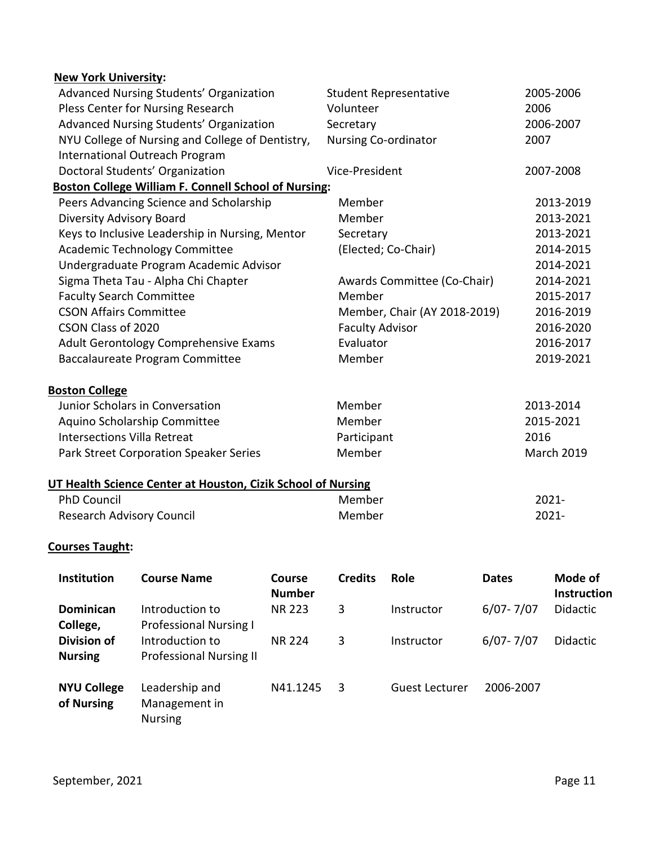| <b>New York University:</b>        |                                                              |               |                        |                               |               |                    |  |
|------------------------------------|--------------------------------------------------------------|---------------|------------------------|-------------------------------|---------------|--------------------|--|
|                                    | Advanced Nursing Students' Organization                      |               |                        | <b>Student Representative</b> |               | 2005-2006          |  |
| Pless Center for Nursing Research  |                                                              | Volunteer     |                        | 2006                          |               |                    |  |
|                                    | Advanced Nursing Students' Organization                      |               | Secretary              |                               |               | 2006-2007          |  |
|                                    | NYU College of Nursing and College of Dentistry,             |               | Nursing Co-ordinator   |                               | 2007          |                    |  |
|                                    | International Outreach Program                               |               |                        |                               |               |                    |  |
|                                    | Doctoral Students' Organization                              |               | Vice-President         |                               |               | 2007-2008          |  |
|                                    | <b>Boston College William F. Connell School of Nursing:</b>  |               |                        |                               |               |                    |  |
|                                    | Peers Advancing Science and Scholarship                      |               | Member                 |                               |               | 2013-2019          |  |
| <b>Diversity Advisory Board</b>    |                                                              |               | Member                 |                               |               | 2013-2021          |  |
|                                    | Keys to Inclusive Leadership in Nursing, Mentor              |               | Secretary              |                               |               | 2013-2021          |  |
|                                    | <b>Academic Technology Committee</b>                         |               |                        | (Elected; Co-Chair)           |               | 2014-2015          |  |
|                                    | Undergraduate Program Academic Advisor                       |               |                        |                               |               | 2014-2021          |  |
|                                    | Sigma Theta Tau - Alpha Chi Chapter                          |               |                        | Awards Committee (Co-Chair)   |               | 2014-2021          |  |
| <b>Faculty Search Committee</b>    |                                                              |               | Member                 |                               |               | 2015-2017          |  |
| <b>CSON Affairs Committee</b>      |                                                              |               |                        | Member, Chair (AY 2018-2019)  |               | 2016-2019          |  |
| CSON Class of 2020                 |                                                              |               | <b>Faculty Advisor</b> |                               |               | 2016-2020          |  |
|                                    | Adult Gerontology Comprehensive Exams                        |               | Evaluator              |                               |               | 2016-2017          |  |
|                                    | Baccalaureate Program Committee                              |               | Member                 |                               |               | 2019-2021          |  |
| <b>Boston College</b>              |                                                              |               |                        |                               |               |                    |  |
|                                    | Junior Scholars in Conversation                              |               | Member                 |                               |               | 2013-2014          |  |
|                                    | Aquino Scholarship Committee                                 |               | Member                 |                               |               | 2015-2021          |  |
| <b>Intersections Villa Retreat</b> |                                                              |               | Participant            |                               | 2016          |                    |  |
|                                    | Park Street Corporation Speaker Series                       |               | Member                 |                               |               | <b>March 2019</b>  |  |
|                                    | UT Health Science Center at Houston, Cizik School of Nursing |               |                        |                               |               |                    |  |
| <b>PhD Council</b>                 |                                                              |               | Member                 |                               |               | 2021-              |  |
| <b>Research Advisory Council</b>   |                                                              |               | Member<br>2021-        |                               |               |                    |  |
| <b>Courses Taught:</b>             |                                                              |               |                        |                               |               |                    |  |
| Institution                        | <b>Course Name</b>                                           | Course        | <b>Credits</b>         | Role                          | <b>Dates</b>  | Mode of            |  |
|                                    |                                                              | <b>Number</b> |                        |                               |               | <b>Instruction</b> |  |
| Dominican                          | Introduction to                                              | <b>NR 223</b> | 3                      | Instructor                    | $6/07 - 7/07$ | Didactic           |  |
| College,                           | <b>Professional Nursing I</b>                                |               |                        |                               |               |                    |  |
| <b>Division of</b>                 | Introduction to                                              | <b>NR 224</b> | 3                      | Instructor                    | $6/07 - 7/07$ | Didactic           |  |
| <b>Nursing</b>                     | <b>Professional Nursing II</b>                               |               |                        |                               |               |                    |  |

|            | NYU College Leadership and | N41.1245 | Guest Lecturer | 2006-2007 |
|------------|----------------------------|----------|----------------|-----------|
| of Nursing | Management in              |          |                |           |

Nursing